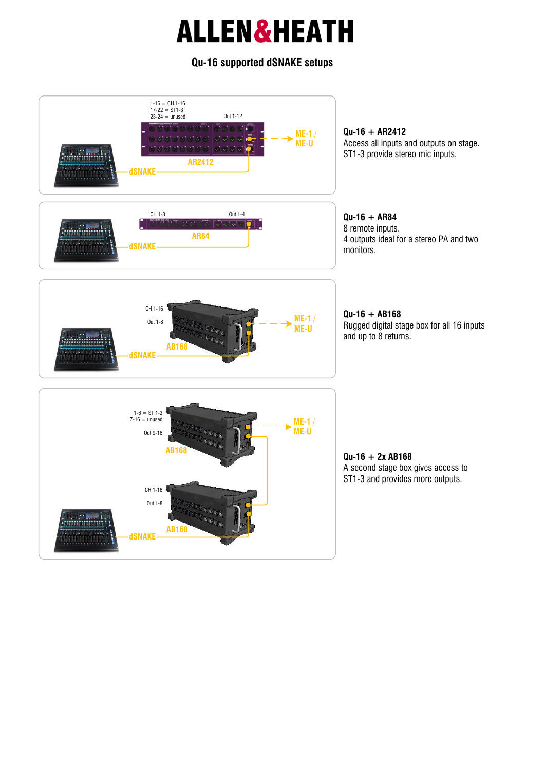#### **Qu-16 supported dSNAKE setups**

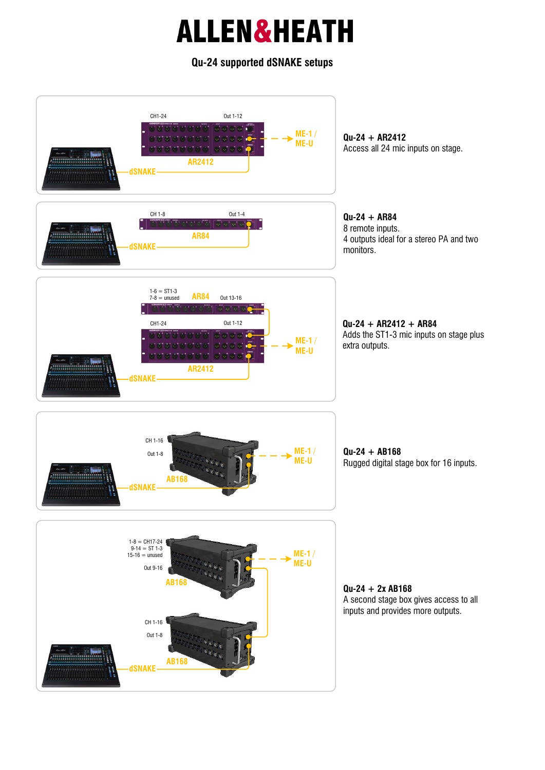#### **Qu-24 supported dSNAKE setups**

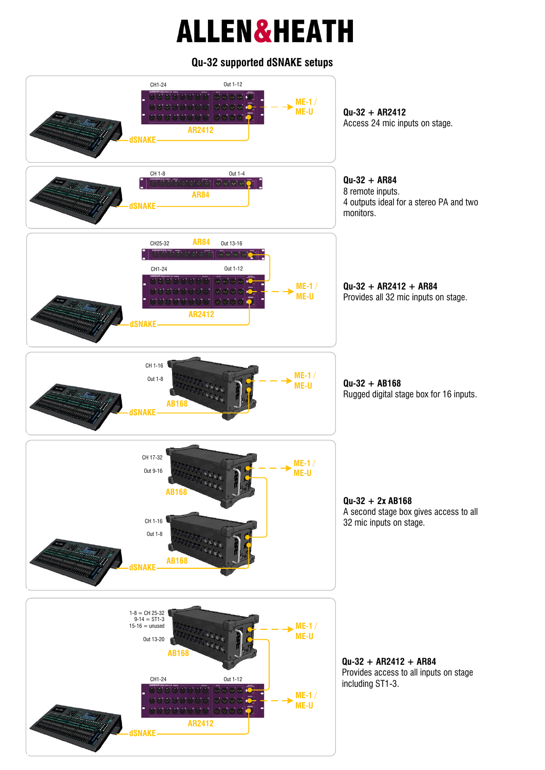#### **Qu-32 supported dSNAKE setups**

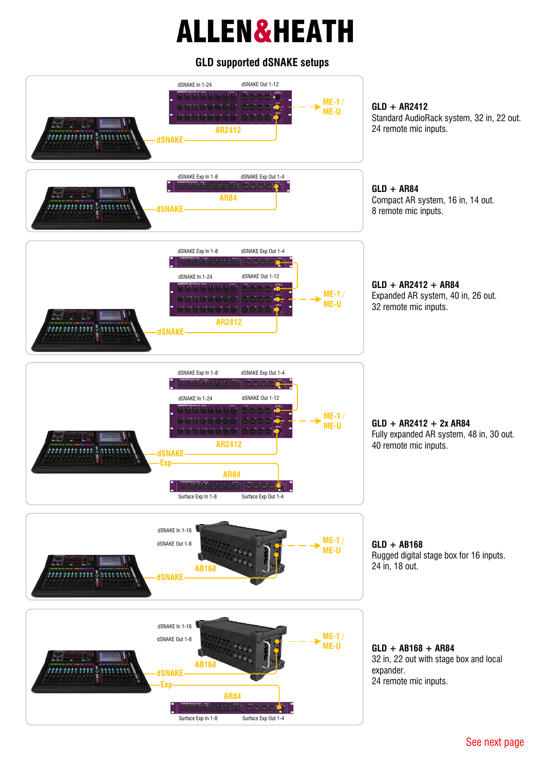#### **GLD supported dSNAKE setups**